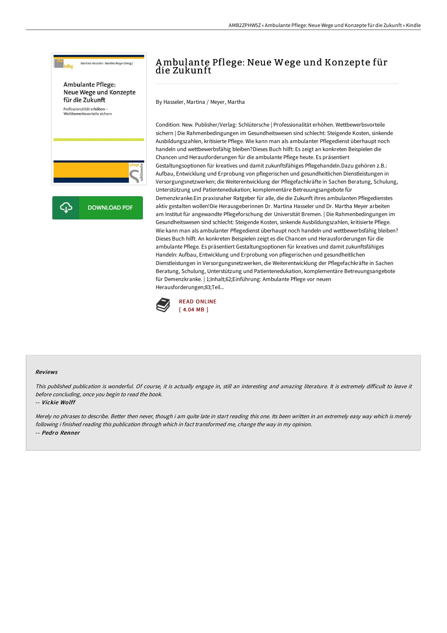

# Ambulante Pflege: Neue Wege und Konzepte für die Zukunft

By Hasseler, Martina / Meyer, Martha

Condition: New. Publisher/Verlag: Schlütersche | Professionalität erhöhen. Wettbewerbsvorteile sichern | Die Rahmenbedingungen im Gesundheitswesen sind schlecht: Steigende Kosten, sinkende Ausbildungszahlen, kritisierte Pflege. Wie kann man als ambulanter Pflegedienst überhaupt noch handeln und wettbewerbsfähig bleiben?Dieses Buch hilft: Es zeigt an konkreten Beispielen die Chancen und Herausforderungen für die ambulante Pflege heute. Es präsentiert Gestaltungsoptionen für kreatives und damit zukunftsfähiges Pflegehandeln.Dazu gehören z.B.: Aufbau, Entwicklung und Erprobung von pflegerischen und gesundheitlichen Dienstleistungen in Versorgungsnetzwerken; die Weiterentwicklung der Pflegefachkräfte in Sachen Beratung, Schulung, Unterstützung und Patientenedukation; komplementäre Betreuungsangebote für Demenzkranke.Ein praxisnaher Ratgeber für alle, die die Zukunft ihres ambulanten Pflegedienstes aktiv gestalten wollen!Die Herausgeberinnen Dr. Martina Hasseler und Dr. Martha Meyer arbeiten am Institut für angewandte Pflegeforschung der Universität Bremen. | Die Rahmenbedingungen im Gesundheitswesen sind schlecht: Steigende Kosten, sinkende Ausbildungszahlen, kritisierte Pflege. Wie kann man als ambulanter Pflegedienst überhaupt noch handeln und wettbewerbsfähig bleiben? Dieses Buch hilft. An konkreten Beispielen zeigt es die Chancen und Herausforderungen für die ambulante Pflege. Es präsentiert Gestaltungsoptionen für kreatives und damit zukunftsfähiges Handeln: Aufbau, Entwicklung und Erprobung von pflegerischen und gesundheitlichen Dienstleistungen in Versorgungsnetzwerken, die Weiterentwicklung der Pflegefachkräfte in Sachen Beratung, Schulung, Unterstützung und Patientenedukation, komplementäre Betreuungsangebote für Demenzkranke. | 1;Inhalt;62;Einführung: Ambulante Pflege vor neuen Herausforderungen;83;Teil...



### Reviews

This published publication is wonderful. Of course, it is actually engage in, still an interesting and amazing literature. It is extremely difficult to leave it before concluding, once you begin to read the book.

#### -- Vickie Wolff

Merely no phrases to describe. Better then never, though i am quite late in start reading this one. Its been written in an extremely easy way which is merely following i finished reading this publication through which in fact transformed me, change the way in my opinion. -- Pedro Renner